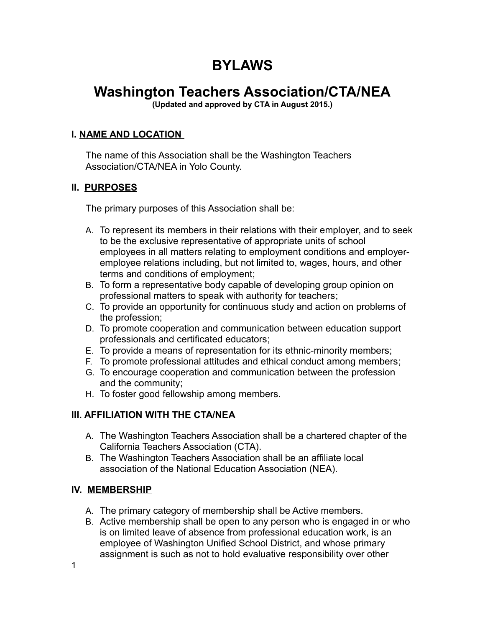# **BYLAWS**

# **Washington Teachers Association/CTA/NEA**

**(Updated and approved by CTA in August 2015.)**

## **I. NAME AND LOCATION**

The name of this Association shall be the Washington Teachers Association/CTA/NEA in Yolo County.

## **II. PURPOSES**

The primary purposes of this Association shall be:

- A. To represent its members in their relations with their employer, and to seek to be the exclusive representative of appropriate units of school employees in all matters relating to employment conditions and employeremployee relations including, but not limited to, wages, hours, and other terms and conditions of employment;
- B. To form a representative body capable of developing group opinion on professional matters to speak with authority for teachers;
- C. To provide an opportunity for continuous study and action on problems of the profession;
- D. To promote cooperation and communication between education support professionals and certificated educators;
- E. To provide a means of representation for its ethnic-minority members;
- F. To promote professional attitudes and ethical conduct among members;
- G. To encourage cooperation and communication between the profession and the community;
- H. To foster good fellowship among members.

## **III. AFFILIATION WITH THE CTA/NEA**

- A. The Washington Teachers Association shall be a chartered chapter of the California Teachers Association (CTA).
- B. The Washington Teachers Association shall be an affiliate local association of the National Education Association (NEA).

### **IV. MEMBERSHIP**

- A. The primary category of membership shall be Active members.
- B. Active membership shall be open to any person who is engaged in or who is on limited leave of absence from professional education work, is an employee of Washington Unified School District, and whose primary assignment is such as not to hold evaluative responsibility over other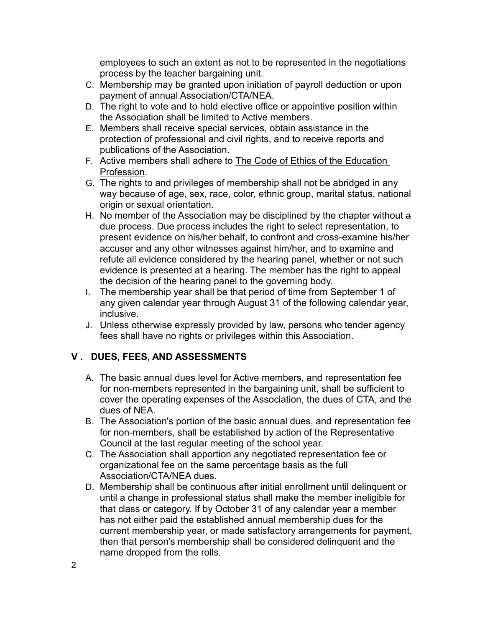employees to such an extent as not to be represented in the negotiations process by the teacher bargaining unit.

- C. Membership may be granted upon initiation of payroll deduction or upon payment of annual Association/CTA/NEA.
- D. The right to vote and to hold elective office or appointive position within the Association shall be limited to Active members.
- E. Members shall receive special services, obtain assistance in the protection of professional and civil rights, and to receive reports and publications of the Association.
- F. Active members shall adhere to The Code of Ethics of the Education Profession.
- G. The rights to and privileges of membership shall not be abridged in any way because of age, sex, race, color, ethnic group, marital status, national origin or sexual orientation.
- H. No member of the Association may be disciplined by the chapter without a due process. Due process includes the right to select representation, to present evidence on his/her behalf, to confront and cross-examine his/her accuser and any other witnesses against him/her, and to examine and refute all evidence considered by the hearing panel, whether or not such evidence is presented at a hearing. The member has the right to appeal the decision of the hearing panel to the governing body.
- I. The membership year shall be that period of time from September 1 of any given calendar year through August 31 of the following calendar year, inclusive.
- J. Unless otherwise expressly provided by law, persons who tender agency fees shall have no rights or privileges within this Association.

## **V . DUES, FEES, AND ASSESSMENTS**

- A. The basic annual dues level for Active members, and representation fee for non-members represented in the bargaining unit, shall be sufficient to cover the operating expenses of the Association, the dues of CTA, and the dues of NEA.
- B. The Association's portion of the basic annual dues, and representation fee for non-members, shall be established by action of the Representative Council at the last regular meeting of the school year.
- C. The Association shall apportion any negotiated representation fee or organizational fee on the same percentage basis as the full Association/CTA/NEA dues.
- D. Membership shall be continuous after initial enrollment until delinquent or until a change in professional status shall make the member ineligible for that class or category. If by October 31 of any calendar year a member has not either paid the established annual membership dues for the current membership year, or made satisfactory arrangements for payment, then that person's membership shall be considered delinquent and the name dropped from the rolls.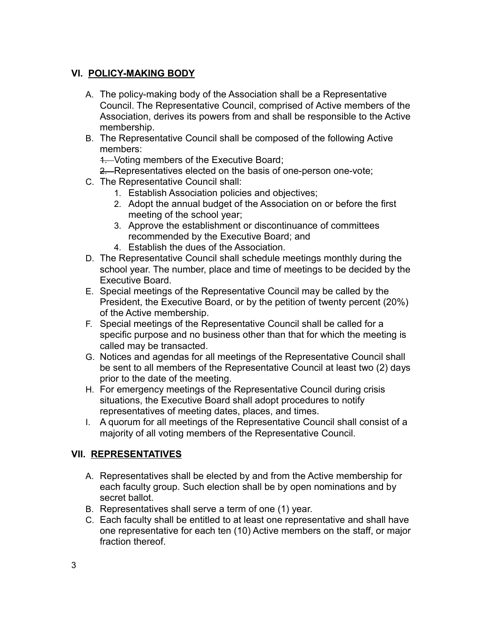## **VI. POLICY-MAKING BODY**

- A. The policy-making body of the Association shall be a Representative Council. The Representative Council, comprised of Active members of the Association, derives its powers from and shall be responsible to the Active membership.
- B. The Representative Council shall be composed of the following Active members:

1. Voting members of the Executive Board;

- 2. Representatives elected on the basis of one-person one-vote;
- C. The Representative Council shall:
	- 1. Establish Association policies and objectives;
	- 2. Adopt the annual budget of the Association on or before the first meeting of the school year;
	- 3. Approve the establishment or discontinuance of committees recommended by the Executive Board; and
	- 4. Establish the dues of the Association.
- D. The Representative Council shall schedule meetings monthly during the school year. The number, place and time of meetings to be decided by the Executive Board.
- E. Special meetings of the Representative Council may be called by the President, the Executive Board, or by the petition of twenty percent (20%) of the Active membership.
- F. Special meetings of the Representative Council shall be called for a specific purpose and no business other than that for which the meeting is called may be transacted.
- G. Notices and agendas for all meetings of the Representative Council shall be sent to all members of the Representative Council at least two (2) days prior to the date of the meeting.
- H. For emergency meetings of the Representative Council during crisis situations, the Executive Board shall adopt procedures to notify representatives of meeting dates, places, and times.
- I. A quorum for all meetings of the Representative Council shall consist of a majority of all voting members of the Representative Council.

### **VII. REPRESENTATIVES**

- A. Representatives shall be elected by and from the Active membership for each faculty group. Such election shall be by open nominations and by secret ballot.
- B. Representatives shall serve a term of one (1) year.
- C. Each faculty shall be entitled to at least one representative and shall have one representative for each ten (10) Active members on the staff, or major fraction thereof.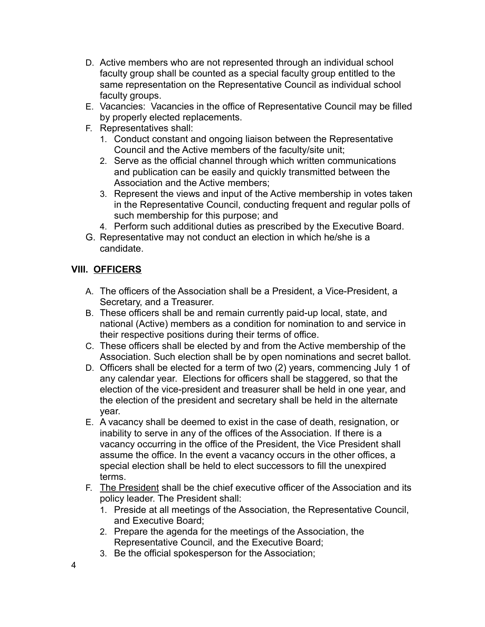- D. Active members who are not represented through an individual school faculty group shall be counted as a special faculty group entitled to the same representation on the Representative Council as individual school faculty groups.
- E. Vacancies: Vacancies in the office of Representative Council may be filled by properly elected replacements.
- F. Representatives shall:
	- 1. Conduct constant and ongoing liaison between the Representative Council and the Active members of the faculty/site unit;
	- 2. Serve as the official channel through which written communications and publication can be easily and quickly transmitted between the Association and the Active members;
	- 3. Represent the views and input of the Active membership in votes taken in the Representative Council, conducting frequent and regular polls of such membership for this purpose; and
	- 4. Perform such additional duties as prescribed by the Executive Board.
- G. Representative may not conduct an election in which he/she is a candidate.

## **VIII. OFFICERS**

- A. The officers of the Association shall be a President, a Vice-President, a Secretary, and a Treasurer.
- B. These officers shall be and remain currently paid-up local, state, and national (Active) members as a condition for nomination to and service in their respective positions during their terms of office.
- C. These officers shall be elected by and from the Active membership of the Association. Such election shall be by open nominations and secret ballot.
- D. Officers shall be elected for a term of two (2) years, commencing July 1 of any calendar year. Elections for officers shall be staggered, so that the election of the vice-president and treasurer shall be held in one year, and the election of the president and secretary shall be held in the alternate year.
- E. A vacancy shall be deemed to exist in the case of death, resignation, or inability to serve in any of the offices of the Association. If there is a vacancy occurring in the office of the President, the Vice President shall assume the office. In the event a vacancy occurs in the other offices, a special election shall be held to elect successors to fill the unexpired terms.
- F. The President shall be the chief executive officer of the Association and its policy leader. The President shall:
	- 1. Preside at all meetings of the Association, the Representative Council, and Executive Board;
	- 2. Prepare the agenda for the meetings of the Association, the Representative Council, and the Executive Board;
	- 3. Be the official spokesperson for the Association;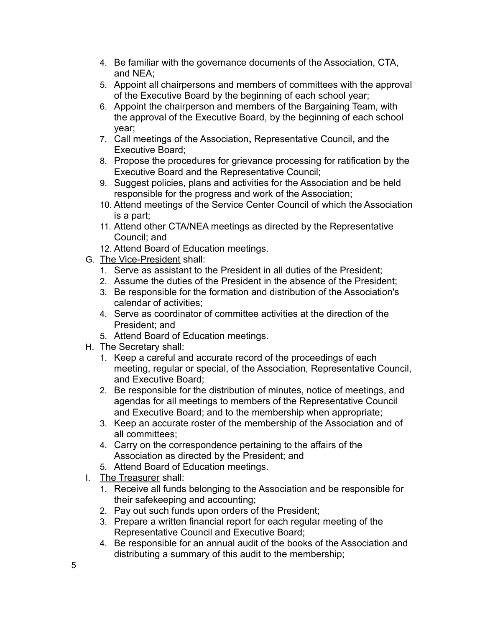- 4. Be familiar with the governance documents of the Association, CTA, and NEA;
- 5. Appoint all chairpersons and members of committees with the approval of the Executive Board by the beginning of each school year;
- 6. Appoint the chairperson and members of the Bargaining Team, with the approval of the Executive Board, by the beginning of each school year;
- 7. Call meetings of the Association**,** Representative Council**,** and the Executive Board;
- 8. Propose the procedures for grievance processing for ratification by the Executive Board and the Representative Council;
- 9. Suggest policies, plans and activities for the Association and be held responsible for the progress and work of the Association;
- 10. Attend meetings of the Service Center Council of which the Association is a part;
- 11. Attend other CTA/NEA meetings as directed by the Representative Council; and
- 12. Attend Board of Education meetings.
- G. The Vice-President shall:
	- 1. Serve as assistant to the President in all duties of the President;
	- 2. Assume the duties of the President in the absence of the President;
	- 3. Be responsible for the formation and distribution of the Association's calendar of activities;
	- 4. Serve as coordinator of committee activities at the direction of the President; and
	- 5. Attend Board of Education meetings.
- H. The Secretary shall:
	- 1. Keep a careful and accurate record of the proceedings of each meeting, regular or special, of the Association, Representative Council, and Executive Board;
	- 2. Be responsible for the distribution of minutes, notice of meetings, and agendas for all meetings to members of the Representative Council and Executive Board; and to the membership when appropriate;
	- 3. Keep an accurate roster of the membership of the Association and of all committees;
	- 4. Carry on the correspondence pertaining to the affairs of the Association as directed by the President; and
	- 5. Attend Board of Education meetings.
- I. The Treasurer shall:
	- 1. Receive all funds belonging to the Association and be responsible for their safekeeping and accounting;
	- 2. Pay out such funds upon orders of the President;
	- 3. Prepare a written financial report for each regular meeting of the Representative Council and Executive Board;
	- 4. Be responsible for an annual audit of the books of the Association and distributing a summary of this audit to the membership;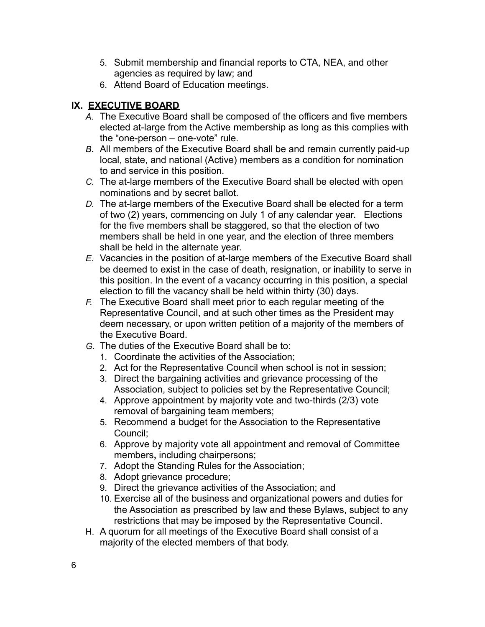- 5. Submit membership and financial reports to CTA, NEA, and other agencies as required by law; and
- 6. Attend Board of Education meetings.

## **IX. EXECUTIVE BOARD**

- *A.* The Executive Board shall be composed of the officers and five members elected at-large from the Active membership as long as this complies with the "one-person – one-vote" rule.
- *B.* All members of the Executive Board shall be and remain currently paid-up local, state, and national (Active) members as a condition for nomination to and service in this position.
- *C.* The at-large members of the Executive Board shall be elected with open nominations and by secret ballot.
- *D.* The at-large members of the Executive Board shall be elected for a term of two (2) years, commencing on July 1 of any calendar year. Elections for the five members shall be staggered, so that the election of two members shall be held in one year, and the election of three members shall be held in the alternate year.
- *E.* Vacancies in the position of at-large members of the Executive Board shall be deemed to exist in the case of death, resignation, or inability to serve in this position. In the event of a vacancy occurring in this position, a special election to fill the vacancy shall be held within thirty (30) days.
- *F.* The Executive Board shall meet prior to each regular meeting of the Representative Council, and at such other times as the President may deem necessary, or upon written petition of a majority of the members of the Executive Board.
- *G.* The duties of the Executive Board shall be to:
	- 1. Coordinate the activities of the Association;
	- 2. Act for the Representative Council when school is not in session;
	- 3. Direct the bargaining activities and grievance processing of the Association, subject to policies set by the Representative Council;
	- 4. Approve appointment by majority vote and two-thirds (2/3) vote removal of bargaining team members;
	- 5. Recommend a budget for the Association to the Representative Council;
	- 6. Approve by majority vote all appointment and removal of Committee members**,** including chairpersons;
	- 7. Adopt the Standing Rules for the Association;
	- 8. Adopt grievance procedure;
	- 9. Direct the grievance activities of the Association; and
	- 10. Exercise all of the business and organizational powers and duties for the Association as prescribed by law and these Bylaws, subject to any restrictions that may be imposed by the Representative Council.
- H. A quorum for all meetings of the Executive Board shall consist of a majority of the elected members of that body.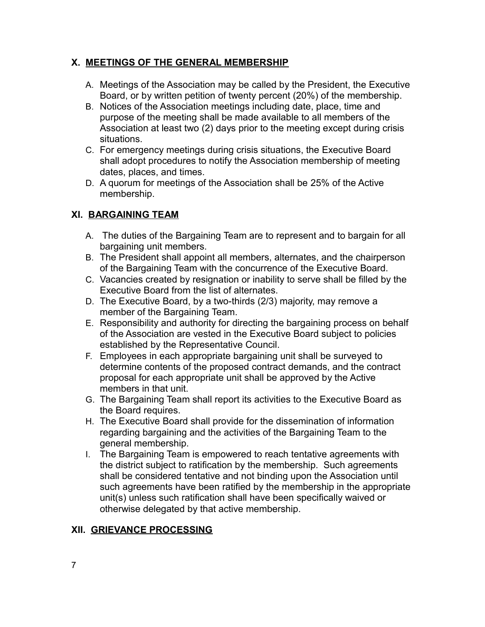### **X. MEETINGS OF THE GENERAL MEMBERSHIP**

- A. Meetings of the Association may be called by the President, the Executive Board, or by written petition of twenty percent (20%) of the membership.
- B. Notices of the Association meetings including date, place, time and purpose of the meeting shall be made available to all members of the Association at least two (2) days prior to the meeting except during crisis situations.
- C. For emergency meetings during crisis situations, the Executive Board shall adopt procedures to notify the Association membership of meeting dates, places, and times.
- D. A quorum for meetings of the Association shall be 25% of the Active membership.

### **XI. BARGAINING TEAM**

- A. The duties of the Bargaining Team are to represent and to bargain for all bargaining unit members.
- B. The President shall appoint all members, alternates, and the chairperson of the Bargaining Team with the concurrence of the Executive Board.
- C. Vacancies created by resignation or inability to serve shall be filled by the Executive Board from the list of alternates.
- D. The Executive Board, by a two-thirds (2/3) majority, may remove a member of the Bargaining Team.
- E. Responsibility and authority for directing the bargaining process on behalf of the Association are vested in the Executive Board subject to policies established by the Representative Council.
- F. Employees in each appropriate bargaining unit shall be surveyed to determine contents of the proposed contract demands, and the contract proposal for each appropriate unit shall be approved by the Active members in that unit.
- G. The Bargaining Team shall report its activities to the Executive Board as the Board requires.
- H. The Executive Board shall provide for the dissemination of information regarding bargaining and the activities of the Bargaining Team to the general membership.
- I. The Bargaining Team is empowered to reach tentative agreements with the district subject to ratification by the membership. Such agreements shall be considered tentative and not binding upon the Association until such agreements have been ratified by the membership in the appropriate unit(s) unless such ratification shall have been specifically waived or otherwise delegated by that active membership.

### **XII. GRIEVANCE PROCESSING**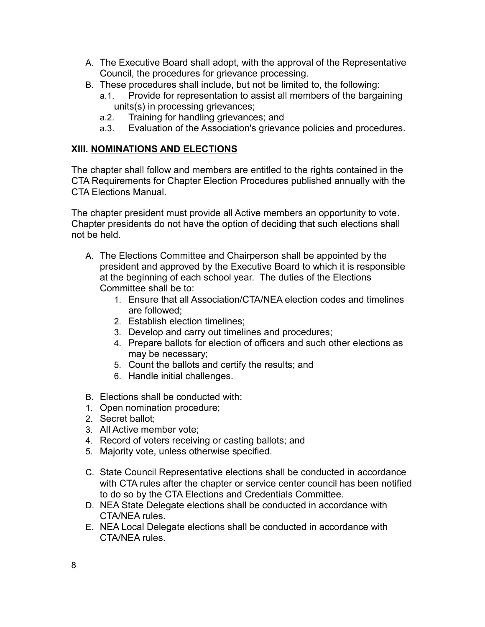- A. The Executive Board shall adopt, with the approval of the Representative Council, the procedures for grievance processing.
- B. These procedures shall include, but not be limited to, the following:
	- a.1. Provide for representation to assist all members of the bargaining units(s) in processing grievances;
	- a.2. Training for handling grievances; and
	- a.3. Evaluation of the Association's grievance policies and procedures.

## **XIII. NOMINATIONS AND ELECTIONS**

The chapter shall follow and members are entitled to the rights contained in the CTA Requirements for Chapter Election Procedures published annually with the CTA Elections Manual.

The chapter president must provide all Active members an opportunity to vote. Chapter presidents do not have the option of deciding that such elections shall not be held.

- A. The Elections Committee and Chairperson shall be appointed by the president and approved by the Executive Board to which it is responsible at the beginning of each school year. The duties of the Elections Committee shall be to:
	- 1. Ensure that all Association/CTA/NEA election codes and timelines are followed;
	- 2. Establish election timelines;
	- 3. Develop and carry out timelines and procedures;
	- 4. Prepare ballots for election of officers and such other elections as may be necessary;
	- 5. Count the ballots and certify the results; and
	- 6. Handle initial challenges.
- B. Elections shall be conducted with:
- 1. Open nomination procedure;
- 2. Secret ballot;
- 3. All Active member vote;
- 4. Record of voters receiving or casting ballots; and
- 5. Majority vote, unless otherwise specified.
- C. State Council Representative elections shall be conducted in accordance with CTA rules after the chapter or service center council has been notified to do so by the CTA Elections and Credentials Committee.
- D. NEA State Delegate elections shall be conducted in accordance with CTA/NEA rules.
- E. NEA Local Delegate elections shall be conducted in accordance with CTA/NEA rules.